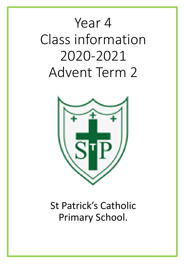# Year 4 Class information 2020-2021 Advent Term 2



# St Patrick's Catholic Primary School.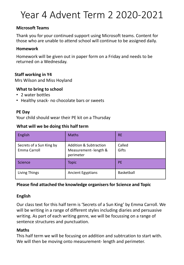# Year 4 Advent Term 2 2020-2021

#### **Microsoft Teams**

Thank you for your continued support using Microsoft teams. Content for those who are unable to attend school will continue to be assigned daily.

#### **Homework**

Homework will be given out in paper form on a Friday and needs to be returned on a Wednesday.

#### **Staff working in Y4**

Mrs Wilson and Miss Hoyland

#### **What to bring to school**

- 2 water bottles
- Healthy snack- no chocolate bars or sweets

#### **PE Day**

Your child should wear their PE kit on a Thursday

#### **What will we be doing this half term**

| English                                  | <b>Maths</b>                                                           | <b>RE</b>       |
|------------------------------------------|------------------------------------------------------------------------|-----------------|
| Secrets of a Sun King by<br>Emma Carroll | <b>Addition &amp; Subtraction</b><br>Measurement-length &<br>perimeter | Called<br>Gifts |
| Science                                  | <b>Topic</b>                                                           | <b>PE</b>       |
| Living Things                            | <b>Ancient Egyptians</b>                                               | Basketball      |

#### **Please find attached the knowledge organisers for Science and Topic**

#### **English**

Our class text for this half term is 'Secrets of a Sun King' by Emma Carroll. We will be writing in a range of different styles including diaries and persuasive writing. As part of each writing genre, we will be focussing on a range of sentence structures and punctuation.

#### **Maths**

This half term we will be focusing on addition and subtrcation to start with. We will then be moving onto measurement- length and perimeter.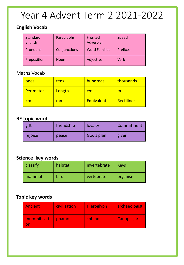# Year 4 Advent Term 2 2021-2022

### **English Vocab**

| <b>Standard</b><br>English | Paragraphs   | Fronted<br>Adverbial | Speech          |
|----------------------------|--------------|----------------------|-----------------|
| Pronouns                   | Conjunctions | <b>Word Families</b> | <b>Prefixes</b> |
| Preposition                | Noun         | Adjective            | Verb            |

### Maths Vocab

| ones      | tens   | hundreds          | thousands  |
|-----------|--------|-------------------|------------|
| Perimeter | Length | <u>cm</u>         | m          |
| ٢m        | mm     | <b>Equivalent</b> | Rectiliner |

### **RE topic word**

| gift    | friendship | loyalty    | Commitment |  |  |  |
|---------|------------|------------|------------|--|--|--|
| rejoice | peace      | God's plan | giver      |  |  |  |

## **Science key words**

| classify | habitat | invertebrate | <b>Keys</b> |
|----------|---------|--------------|-------------|
| mammal   | bird    | vertebrate   | organism    |

## **Topic key words**

| <b>Ancient</b>    | civilisation | <b>Hieroglyph</b> | archaeologist |  |  |  |  |
|-------------------|--------------|-------------------|---------------|--|--|--|--|
| mummificati<br>nn | pharaoh      | sphinx            | Canopic jar   |  |  |  |  |